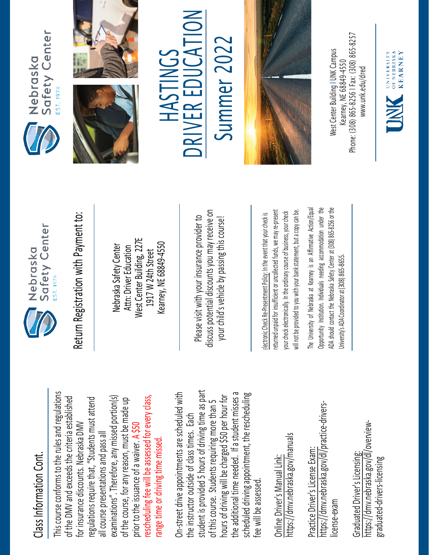## Class Information Cont. Class Information Cont.

This course conforms to the rules and regulations This course conforms to the rules and regulations rescheduling fee will be assessed for every class, examinations". Therefore, any missed portion(s) of the DMV and exceeds the criteria established regulations require that, "Students must attend rescheduling fee will be assessed for every class, of the DMV and exceeds the criteria established examinations". Therefore, any missed portion(s) of the course, for any reason, must be made up regulations require that, "Students must attend of the course, for any reason, must be made up for insurance discounts. Nebraska DMV for insurance discounts. Nebraska DMV prior to the issuance of a waiver. A \$50 all course presentations and pass all all course presentations and pass all range time or driving time missed. range time or driving time missed. prior to the issuance of a waiver.

student is provided 5 hours of driving time as part On-street drive appointments are scheduled with student is provided 5 hours of driving time as part the additional time needed. If a student misses a scheduled driving appointment, the rescheduling the additional time needed. If a student misses a On-street drive appointments are scheduled with hours of driving will be charged \$50 per hour for scheduled driving appointment, the rescheduling hours of driving will be charged \$50 per hour for of this course. Students requiring more than 5 of this course. Students requiring more than 5 the instructor outside of class times. Each the instructor outside of class times. Each fee will be assessed. fee will be assessed

https://dmv.nebraska.gov/manuals https://dmv.nebraska.gov/manuals Online Driver's Manual Link: Online Driver's Manual Link:

https://dmv.nebraska.gov/dl/practice-drivershttps://dmv.nebraska.gov/dl/practice-drivers-Practice Driver's License Exam: Practice Driver's License Exam: license-exam icense-exam

https://dmv.nebraska.gov/dl/overviewhttps://dmv.nebraska.gov/dl/overview-Graduated Driver's Licensing: Graduated Driver's Licensing: graduated-drivers-licensing graduated-drivers-licensing



Nebraska Safety Center Attn: Driver Education West Center Building, 227E 1917 W 24th Street Kearney, NE 68849-4550

Please visit with your insurance provider to discuss potential discounts you may receive on potential discounts you may receive on your child's vehicle by passing this course! Return Registration with Payment to:<br>
Nebraska Safety Center<br>
Attn: Driver Education<br>
1917 W 24th Street<br>
Rearney, NE 68849-4550<br>
Rease visit with your insurance provider to<br>
Please visit with your insurance provider to<br>
y

returned unpaid for insufficient or uncollected funds, we may re-present a copy can be. returned unpaid for insufficient or uncollected funds, we may re-present will not be provided to you with your bank statement, but a copy can be. your check electronically. In the ordinary course of business, your check your check electronically. In the ordinary course of business, your check will not be provided to you with your bank statement, but

The University of Nebraska at Kearney is an Affirmative Action/Equal The University of Nebraska at Kearney is an Affirmative Action/Equal Opportunity Institution. Individuals needing accommodation under the ADA should contact the Nebraska Safety Center at (308) 865-8256 or the Opportunity Institution. Individuals needing accommodation under the ADA should contact the Nebraska Safety Center at (308) 865-8256 or the Jniversity's ADA Coordinator at (308) 865-8655. University's ADA Coordinator at (308) 86







## TO L Summer 2022 R EDUCA **CONTINGS** HASTINGS E **KIVE NC**

Summer 202



Phone: (308) 865-8256 | Fax: (308) 865-8257 West Center Building I UNK Campus Nest Center Building I UNK Campus -8256 I Fax: (308) 865 Kearney, NE 68849-4550 www.unk.edu/dred [www.unk.edu/dred](http://www.unk.edu/dred) Kearney, NE 68849 Phone: (308) 865

UNIVERSITY<br>
OF NEBRASKA<br>
KFARNEY

**KEARNEY**